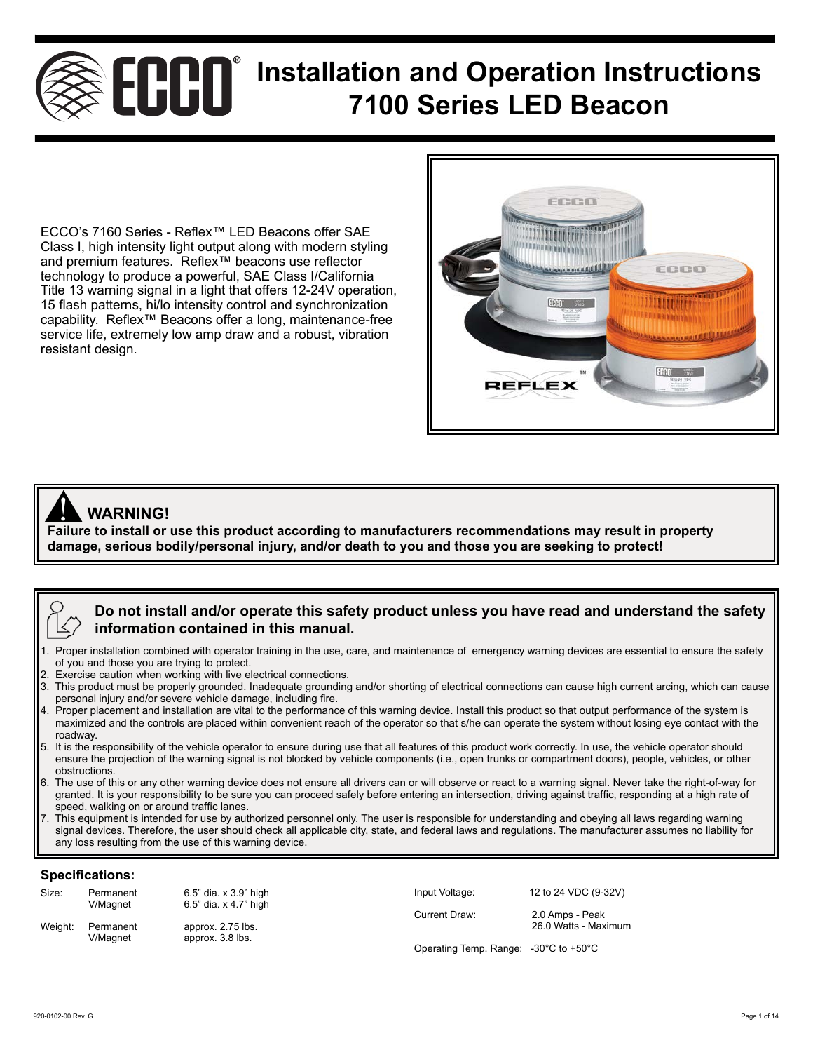# **ECOOO** Installation and Operation Instructions **7100 Series LED Beacon**

ECCO's 7160 Series - Reflex™ LED Beacons offer SAE Class I, high intensity light output along with modern styling and premium features. Reflex™ beacons use reflector technology to produce a powerful, SAE Class I/California Title 13 warning signal in a light that offers 12-24V operation, 15 flash patterns, hi/lo intensity control and synchronization capability. Reflex™ Beacons offer a long, maintenance-free service life, extremely low amp draw and a robust, vibration resistant design.



## **WARNING!**

**ANDICES WARNING!**<br>Failure to install or use this product according to manufacturers recommendations may result in property **damage, serious bodily/personal injury, and/or death to you and those you are seeking to protect!**

## **Do not install and/or operate this safety product unless you have read and understand the safety information contained in this manual.**

- 1. Proper installation combined with operator training in the use, care, and maintenance of emergency warning devices are essential to ensure the safety of you and those you are trying to protect.
- 2. Exercise caution when working with live electrical connections.
- 3. This product must be properly grounded. Inadequate grounding and/or shorting of electrical connections can cause high current arcing, which can cause personal injury and/or severe vehicle damage, including fire.
- 4. Proper placement and installation are vital to the performance of this warning device. Install this product so that output performance of the system is maximized and the controls are placed within convenient reach of the operator so that s/he can operate the system without losing eye contact with the roadway.
- 5. It is the responsibility of the vehicle operator to ensure during use that all features of this product work correctly. In use, the vehicle operator should ensure the projection of the warning signal is not blocked by vehicle components (i.e., open trunks or compartment doors), people, vehicles, or other obstructions.
- 6. The use of this or any other warning device does not ensure all drivers can or will observe or react to a warning signal. Never take the right-of-way for granted. It is your responsibility to be sure you can proceed safely before entering an intersection, driving against traffic, responding at a high rate of speed, walking on or around traffic lanes.
- 7. This equipment is intended for use by authorized personnel only. The user is responsible for understanding and obeying all laws regarding warning signal devices. Therefore, the user should check all applicable city, state, and federal laws and regulations. The manufacturer assumes no liability for any loss resulting from the use of this warning device.

#### **Specifications:**

| Size:   | Permanent<br>V/Magnet | 6.5" dia. x 3.9" high<br>6.5" dia. x 4.7" high | Input Voltage:                                            | 12 to 24 VDC (9-32V)                    |  |
|---------|-----------------------|------------------------------------------------|-----------------------------------------------------------|-----------------------------------------|--|
| Weight: | Permanent<br>V/Magnet | approx. 2.75 lbs.<br>approx. 3.8 lbs.          | Current Draw:                                             | 2.0 Amps - Peak<br>26.0 Watts - Maximum |  |
|         |                       |                                                | Operating Temp. Range: $-30^{\circ}$ C to $+50^{\circ}$ C |                                         |  |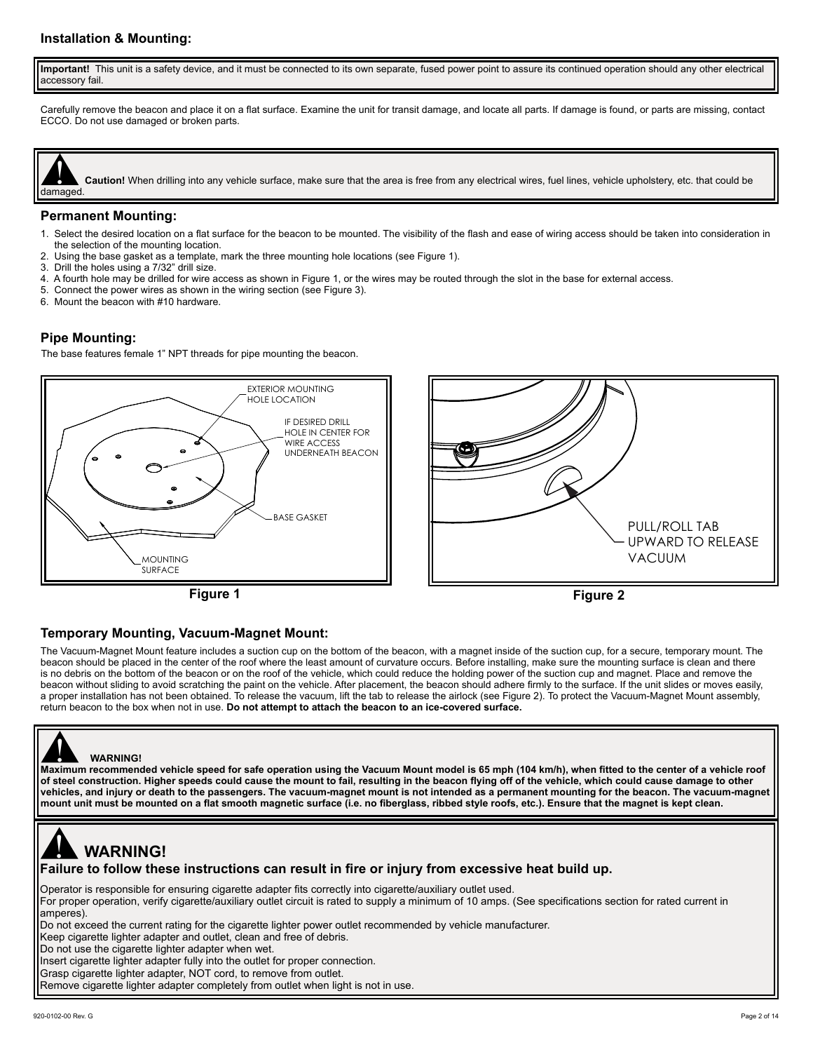#### **Installation & Mounting:**

 **Important!** This unit is a safety device, and it must be connected to its own separate, fused power point to assure its continued operation should any other electrical accessory fail.

Carefully remove the beacon and place it on a flat surface. Examine the unit for transit damage, and locate all parts. If damage is found, or parts are missing, contact ECCO. Do not use damaged or broken parts.



**Caution!** When drilling into any vehicle surface, make sure that the area is free from any electrical wires, fuel lines, vehicle upholstery, etc. that could be

#### **Permanent Mounting:**

- 1. Select the desired location on a flat surface for the beacon to be mounted. The visibility of the flash and ease of wiring access should be taken into consideration in the selection of the mounting location.
- 2. Using the base gasket as a template, mark the three mounting hole locations (see Figure 1).
- 3. Drill the holes using a 7/32" drill size.
- 4. A fourth hole may be drilled for wire access as shown in Figure 1, or the wires may be routed through the slot in the base for external access.
- 5. Connect the power wires as shown in the wiring section (see Figure 3).
- 6. Mount the beacon with #10 hardware.

#### **Pipe Mounting:**

The base features female 1" NPT threads for pipe mounting the beacon.







#### **Temporary Mounting, Vacuum-Magnet Mount:**

The Vacuum-Magnet Mount feature includes a suction cup on the bottom of the beacon, with a magnet inside of the suction cup, for a secure, temporary mount. The beacon should be placed in the center of the roof where the least amount of curvature occurs. Before installing, make sure the mounting surface is clean and there is no debris on the bottom of the beacon or on the roof of the vehicle, which could reduce the holding power of the suction cup and magnet. Place and remove the beacon without sliding to avoid scratching the paint on the vehicle. After placement, the beacon should adhere firmly to the surface. If the unit slides or moves easily, a proper installation has not been obtained. To release the vacuum, lift the tab to release the airlock (see Figure 2). To protect the Vacuum-Magnet Mount assembly, return beacon to the box when not in use. **Do not attempt to attach the beacon to an ice-covered surface.**



 $\overline{\phantom{a}}$ 

## **WARNING!**

WARNING!<br>Maximum recommended vehicle speed for safe operation using the Vacuum Mount model is 65 mph (104 km/h), when fitted to the center of a vehicle roof **of steel construction. Higher speeds could cause the mount to fail, resulting in the beacon flying off of the vehicle, which could cause damage to other vehicles, and injury or death to the passengers. The vacuum-magnet mount is not intended as a permanent mounting for the beacon. The vacuum-magnet mount unit must be mounted on a flat smooth magnetic surface (i.e. no fiberglass, ribbed style roofs, etc.). Ensure that the magnet is kept clean.**

## **WARNING!** <u>|</u><br>!

**Failure to follow these instructions can result in fire or injury from excessive heat build up.**

Operator is responsible for ensuring cigarette adapter fits correctly into cigarette/auxiliary outlet used.

For proper operation, verify cigarette/auxiliary outlet circuit is rated to supply a minimum of 10 amps. (See specifications section for rated current in amperes).

Do not exceed the current rating for the cigarette lighter power outlet recommended by vehicle manufacturer.

Keep cigarette lighter adapter and outlet, clean and free of debris.

Do not use the cigarette lighter adapter when wet.

Insert cigarette lighter adapter fully into the outlet for proper connection.

Grasp cigarette lighter adapter, NOT cord, to remove from outlet.

Remove cigarette lighter adapter completely from outlet when light is not in use.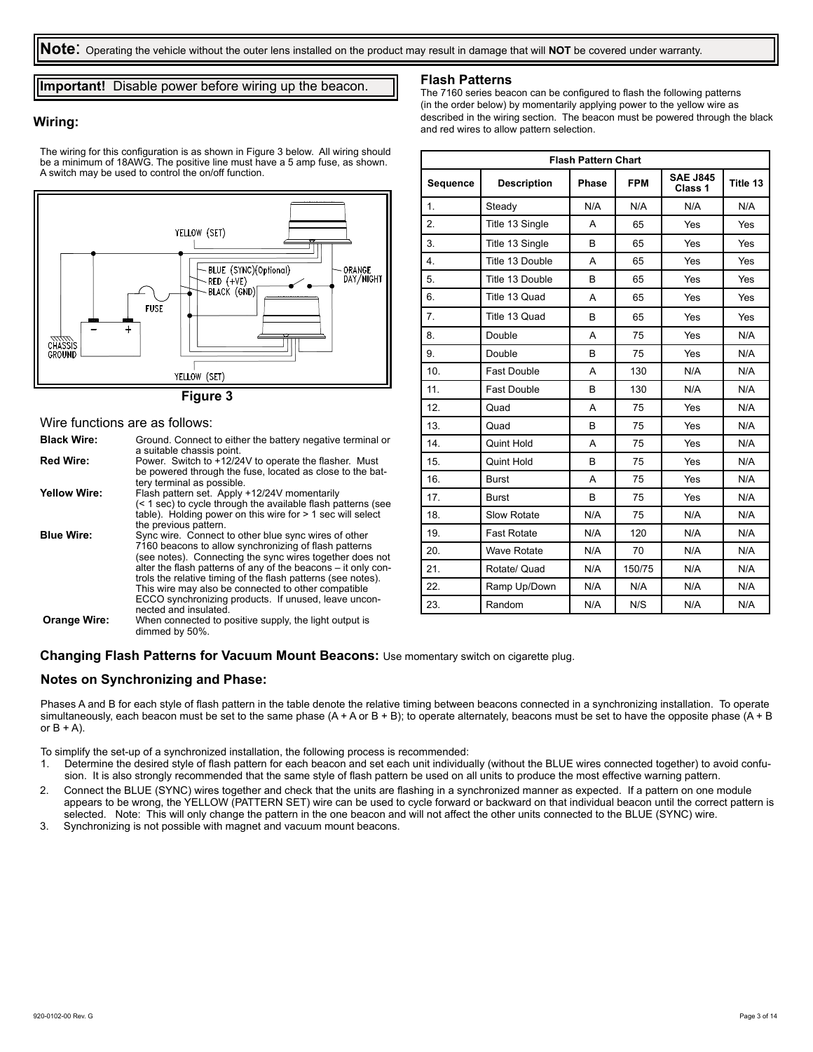**Note**: Operating the vehicle without the outer lens installed on the product may result in damage that will **NOT** be covered under warranty.

**Important!** Disable power before wiring up the beacon.

#### **Wiring:**

The wiring for this configuration is as shown in Figure 3 below. All wiring should be a minimum of 18AWG. The positive line must have a 5 amp fuse, as shown. A switch may be used to control the on/off function.



Wire functions are as follows:

| <b>Black Wire:</b>  | Ground. Connect to either the battery negative terminal or<br>a suitable chassis point.                                                                                                                                                                                                                                                                                                                                                            |
|---------------------|----------------------------------------------------------------------------------------------------------------------------------------------------------------------------------------------------------------------------------------------------------------------------------------------------------------------------------------------------------------------------------------------------------------------------------------------------|
| <b>Red Wire:</b>    | Power. Switch to +12/24V to operate the flasher. Must<br>be powered through the fuse, located as close to the bat-                                                                                                                                                                                                                                                                                                                                 |
|                     | tery terminal as possible.                                                                                                                                                                                                                                                                                                                                                                                                                         |
| <b>Yellow Wire:</b> | Flash pattern set. Apply +12/24V momentarily<br>(< 1 sec) to cycle through the available flash patterns (see<br>table). Holding power on this wire for $> 1$ sec will select<br>the previous pattern.                                                                                                                                                                                                                                              |
| <b>Blue Wire:</b>   | Sync wire. Connect to other blue sync wires of other<br>7160 beacons to allow synchronizing of flash patterns<br>(see notes). Connecting the sync wires together does not<br>alter the flash patterns of any of the beacons – it only con-<br>trols the relative timing of the flash patterns (see notes).<br>This wire may also be connected to other compatible<br>ECCO synchronizing products. If unused, leave uncon-<br>nected and insulated. |
| <b>Orange Wire:</b> | When connected to positive supply, the light output is<br>dimmed by 50%.                                                                                                                                                                                                                                                                                                                                                                           |

#### **Flash Patterns**

The 7160 series beacon can be configured to flash the following patterns (in the order below) by momentarily applying power to the yellow wire as described in the wiring section. The beacon must be powered through the black and red wires to allow pattern selection.

| <b>Flash Pattern Chart</b> |                    |              |            |                            |          |  |
|----------------------------|--------------------|--------------|------------|----------------------------|----------|--|
| Sequence                   | <b>Description</b> | <b>Phase</b> | <b>FPM</b> | <b>SAE J845</b><br>Class 1 | Title 13 |  |
| $\mathbf 1$ .              | Steady             | N/A          | N/A        | N/A                        | N/A      |  |
| 2.                         | Title 13 Single    | A            | 65         | Yes                        | Yes      |  |
| 3.                         | Title 13 Single    | B            | 65         | Yes                        | Yes      |  |
| 4.                         | Title 13 Double    | A            | 65         | Yes                        | Yes      |  |
| 5.                         | Title 13 Double    | B            | 65         | Yes                        | Yes      |  |
| 6.                         | Title 13 Quad      | A            | 65         | Yes                        | Yes      |  |
| 7 <sub>1</sub>             | Title 13 Quad      | B            | 65         | Yes                        | Yes      |  |
| 8.                         | Double             | A            | 75         | Yes                        | N/A      |  |
| 9.                         | Double             | B            | 75         | Yes                        | N/A      |  |
| 10.                        | <b>Fast Double</b> | A            | 130        | N/A                        | N/A      |  |
| 11.                        | <b>Fast Double</b> | B            | 130        | N/A                        | N/A      |  |
| 12.                        | Quad               | A            | 75         | Yes                        | N/A      |  |
| 13.                        | Quad               | B            | 75         | Yes                        | N/A      |  |
| 14.                        | Quint Hold         | A            | 75         | Yes                        | N/A      |  |
| 15.                        | Quint Hold         | B            | 75         | Yes                        | N/A      |  |
| 16.                        | <b>Burst</b>       | A            | 75         | Yes                        | N/A      |  |
| 17.                        | <b>Burst</b>       | B            | 75         | Yes                        | N/A      |  |
| 18.                        | Slow Rotate        | N/A          | 75         | N/A                        | N/A      |  |
| 19.                        | <b>Fast Rotate</b> | N/A          | 120        | N/A                        | N/A      |  |
| 20.                        | <b>Wave Rotate</b> | N/A          | 70         | N/A                        | N/A      |  |
| 21.                        | Rotate/ Quad       | N/A          | 150/75     | N/A                        | N/A      |  |
| 22.                        | Ramp Up/Down       | N/A          | N/A        | N/A                        | N/A      |  |
| 23.                        | Random             | N/A          | N/S        | N/A                        | N/A      |  |

**Changing Flash Patterns for Vacuum Mount Beacons:** Use momentary switch on cigarette plug.

#### **Notes on Synchronizing and Phase:**

Phases A and B for each style of flash pattern in the table denote the relative timing between beacons connected in a synchronizing installation. To operate simultaneously, each beacon must be set to the same phase (A + A or B + B); to operate alternately, beacons must be set to have the opposite phase (A + B or  $B + A$ ).

To simplify the set-up of a synchronized installation, the following process is recommended:<br>1. Determine the desired style of flash pattern for each beacon and set each unit individual

- 1. Determine the desired style of flash pattern for each beacon and set each unit individually (without the BLUE wires connected together) to avoid confusion. It is also strongly recommended that the same style of flash pattern be used on all units to produce the most effective warning pattern.
- 2. Connect the BLUE (SYNC) wires together and check that the units are flashing in a synchronized manner as expected. If a pattern on one module appears to be wrong, the YELLOW (PATTERN SET) wire can be used to cycle forward or backward on that individual beacon until the correct pattern is selected. Note: This will only change the pattern in the one beacon and will not affect the other units connected to the BLUE (SYNC) wire.
- 3. Synchronizing is not possible with magnet and vacuum mount beacons.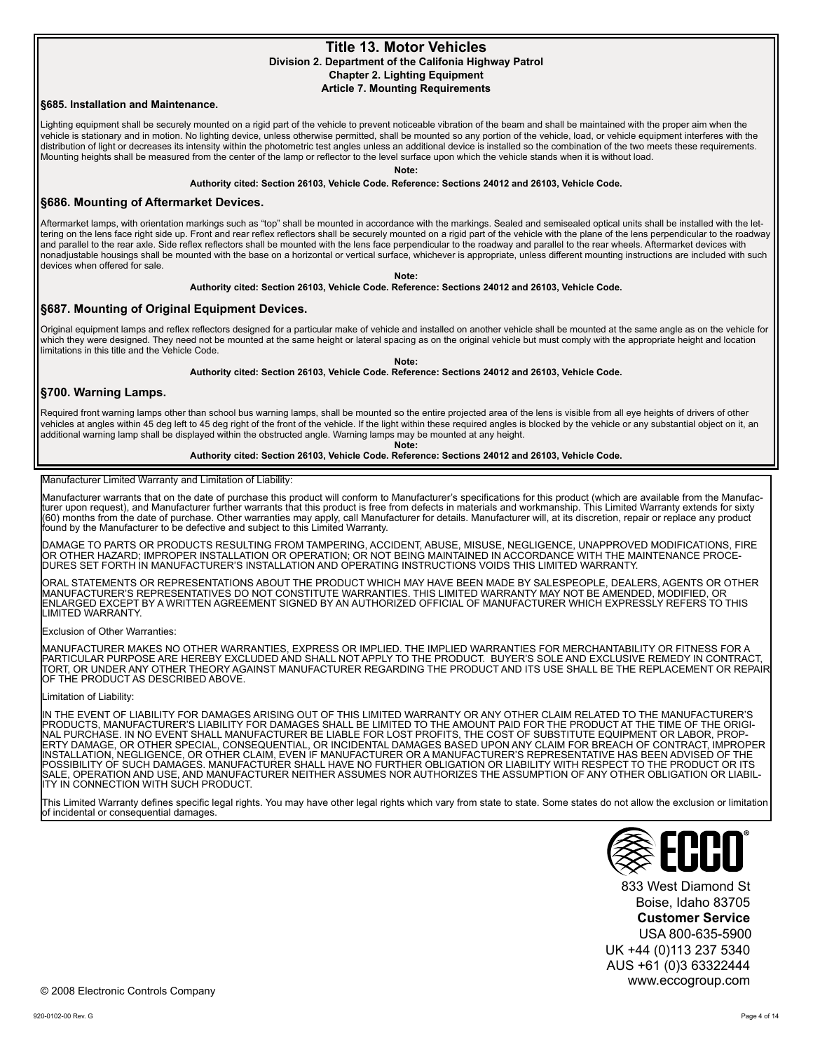## **Title 13. Motor Vehicles**

**Division 2. Department of the Califonia Highway Patrol Chapter 2. Lighting Equipment**

**Article 7. Mounting Requirements**

#### **§685. Installation and Maintenance.**

Lighting equipment shall be securely mounted on a rigid part of the vehicle to prevent noticeable vibration of the beam and shall be maintained with the proper aim when the vehicle is stationary and in motion. No lighting device, unless otherwise permitted, shall be mounted so any portion of the vehicle, load, or vehicle equipment interferes with the distribution of light or decreases its intensity within the photometric test angles unless an additional device is installed so the combination of the two meets these requirements. Mounting heights shall be measured from the center of the lamp or reflector to the level surface upon which the vehicle stands when it is without load.

**Note:**

**Authority cited: Section 26103, Vehicle Code. Reference: Sections 24012 and 26103, Vehicle Code.**

#### **§686. Mounting of Aftermarket Devices.**

Aftermarket lamps, with orientation markings such as "top" shall be mounted in accordance with the markings. Sealed and semisealed optical units shall be installed with the lettering on the lens face right side up. Front and rear reflex reflectors shall be securely mounted on a rigid part of the vehicle with the plane of the lens perpendicular to the roadway and parallel to the rear axle. Side reflex reflectors shall be mounted with the lens face perpendicular to the roadway and parallel to the rear wheels. Aftermarket devices with nonadjustable housings shall be mounted with the base on a horizontal or vertical surface, whichever is appropriate, unless different mounting instructions are included with such devices when offered for sale.

**Note:**

#### **Authority cited: Section 26103, Vehicle Code. Reference: Sections 24012 and 26103, Vehicle Code.**

#### **§687. Mounting of Original Equipment Devices.**

Original equipment lamps and reflex reflectors designed for a particular make of vehicle and installed on another vehicle shall be mounted at the same angle as on the vehicle for which they were designed. They need not be mounted at the same height or lateral spacing as on the original vehicle but must comply with the appropriate height and location limitations in this title and the Vehicle Code.

**Note:**

**Authority cited: Section 26103, Vehicle Code. Reference: Sections 24012 and 26103, Vehicle Code.**

#### **§700. Warning Lamps.**

Required front warning lamps other than school bus warning lamps, shall be mounted so the entire projected area of the lens is visible from all eye heights of drivers of other vehicles at angles within 45 deg left to 45 deg right of the front of the vehicle. If the light within these required angles is blocked by the vehicle or any substantial object on it, an additional warning lamp shall be displayed within the obstructed angle. Warning lamps may be mounted at any height.

**Note:**

#### **Authority cited: Section 26103, Vehicle Code. Reference: Sections 24012 and 26103, Vehicle Code.**

#### Manufacturer Limited Warranty and Limitation of Liability:

Manufacturer warrants that on the date of purchase this product will conform to Manufacturer's specifications for this product (which are available from the Manufac-<br>turer upon request), and Manufacturer further warrants t (60) months from the date of purchase. Other warranties may apply, call Manufacturer for details. Manufacturer will, at its discretion, repair or replace any product found by the Manufacturer to be defective and subject to this Limited Warranty.

DAMAGE TO PARTS OR PRODUCTS RESULTING FROM TAMPERING, ACCIDENT, ABUSE, MISUSE, NEGLIGENCE, UNAPPROVED MODIFICATIONS, FIRE<br>OR OTHER HAZARD; IMPROPER INSTALLATION OR OPERATION; OR NOT BEING MAINTAINED IN ACCORDANCE WITH THE

ORAL STATEMENTS OR REPRESENTATIONS ABOUT THE PRODUCT WHICH MAY HAVE BEEN MADE BY SALESPEOPLE, DEALERS, AGENTS OR OTHER MANUFACTURER'S REPRESENTATIVES DO NOT CONSTITUTE WARRANTIES. THIS LIMITED WARRANTY MAY NOT BE AMENDED, MODIFIED, OR ENLARGED EXCEPT BY A WRITTEN AGREEMENT SIGNED BY AN AUTHORIZED OFFICIAL OF MANUFACTURER WHICH EXPRESSLY REFERS TO THIS LIMITED WARRANTY.

#### Exclusion of Other Warranties:

MANUFACTURER MAKES NO OTHER WARRANTIES, EXPRESS OR IMPLIED. THE IMPLIED WARRANTIES FOR MERCHANTABILITY OR FITNESS FOR A PARTICULAR PURPOSE ARE HEREBY EXCLUDED AND SHALL NOT APPLY TO THE PRODUCT. BUYER'S SOLE AND EXCLUSIVE REMEDY IN CONTRACT, TORT, OR UNDER ANY OTHER THEORY AGAINST MANUFACTURER REGARDING THE PRODUCT AND ITS USE SHALL BE THE REPLACEMENT OR REPAIR OF THE PRODUCT AS DESCRIBED ABOVE.

#### Limitation of Liability:

IN THE EVENT OF LIABILITY FOR DAMAGES ARISING OUT OF THIS LIMITED WARRANTY OR ANY OTHER CLAIM RELATED TO THE MANUFACTURER'S<br>PRODUCTS, MANUFACTURER'S LIABILITY FOR DAMAGES SHALL BE LIMITED TO THE AMOUNT PAID FOR THE PRODUCT POSSIBILITY OF SUCH DAMAGES. MANUFACTURER SHALL HAVE NO FURTHER OBLIGATION OR LIABILITY WITH RESPECT TO THE PRODUCT OR ITS SALE, OPERATION AND USE, AND MANUFACTURER NEITHER ASSUMES NOR AUTHORIZES THE ASSUMPTION OF ANY OTHER OBLIGATION OR LIABIL-<br>ITY IN CONNECTION WITH SUCH PRODUCT.

This Limited Warranty defines specific legal rights. You may have other legal rights which vary from state to state. Some states do not allow the exclusion or limitation of incidental or consequential damages.



833 West Diamond St Boise, Idaho 83705 **Customer Service** USA 800-635-5900 UK +44 (0)113 237 5340 AUS +61 (0)3 63322444 www.eccogroup.com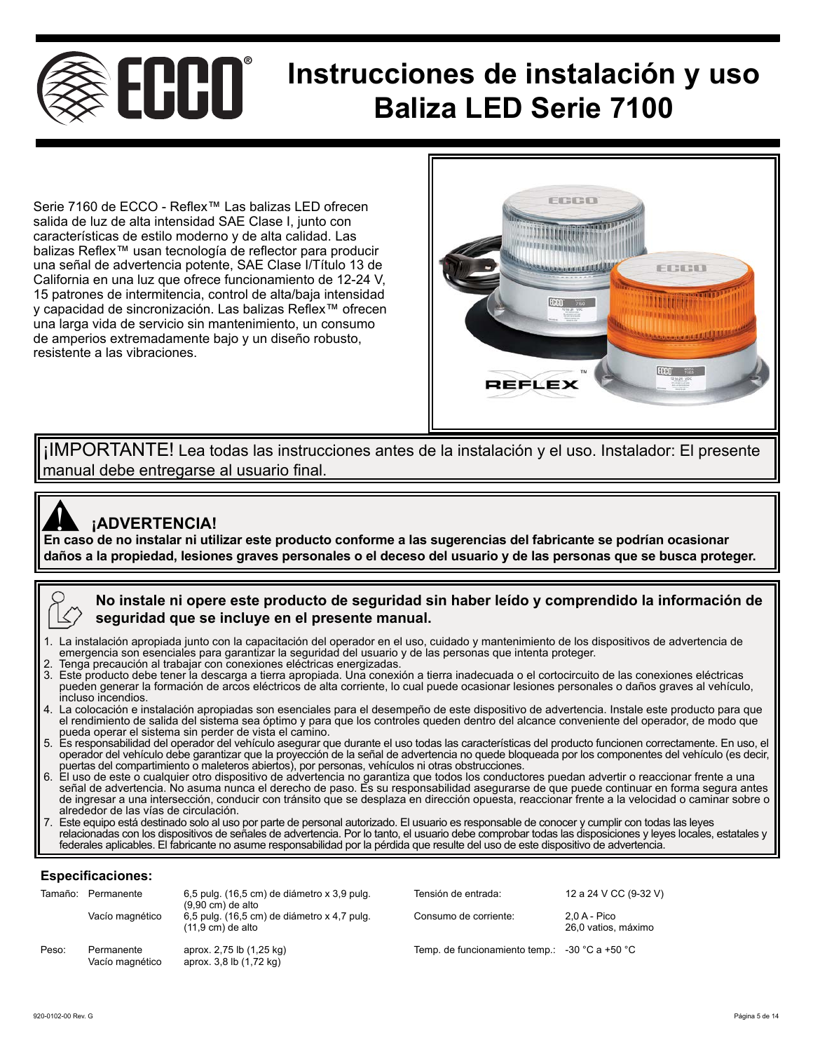

## **Instrucciones de instalación y uso Baliza LED Serie 7100**

Serie 7160 de ECCO - Reflex™ Las balizas LED ofrecen salida de luz de alta intensidad SAE Clase I, junto con características de estilo moderno y de alta calidad. Las balizas Reflex™ usan tecnología de reflector para producir una señal de advertencia potente, SAE Clase I/Título 13 de California en una luz que ofrece funcionamiento de 12-24 V, 15 patrones de intermitencia, control de alta/baja intensidad y capacidad de sincronización. Las balizas Reflex™ ofrecen una larga vida de servicio sin mantenimiento, un consumo de amperios extremadamente bajo y un diseño robusto, resistente a las vibraciones.



¡IMPORTANTE! Lea todas las instrucciones antes de la instalación y el uso. Instalador: El presente manual debe entregarse al usuario final.



## **¡ADVERTENCIA!**

**Alges de la producta**<br>En caso de no instalar ni utilizar este producto conforme a las sugerencias del fabricante se podrían ocasionar **daños a la propiedad, lesiones graves personales o el deceso del usuario y de las personas que se busca proteger.** 

## **No instale ni opere este producto de seguridad sin haber leído y comprendido la información de seguridad que se incluye en el presente manual.**

- La instalación apropiada junto con la capacitación del operador en el uso, cuidado y mantenimiento de los dispositivos de advertencia de emergencia son esenciales para garantizar la seguridad del usuario y de las personas que intenta proteger.
- 2. Tenga precaución al trabajar con conexiones eléctricas energizadas.
- 3. Este producto debe tener la descarga a tierra apropiada. Una conexión a tierra inadecuada o el cortocircuito de las conexiones eléctricas pueden generar la formación de arcos eléctricos de alta corriente, lo cual puede ocasionar lesiones personales o daños graves al vehículo, incluso incendios.
- 4. La colocación e instalación apropiadas son esenciales para el desempeño de este dispositivo de advertencia. Instale este producto para que el rendimiento de salida del sistema sea óptimo y para que los controles queden dentro del alcance conveniente del operador, de modo que pueda operar el sistema sin perder de vista el camino.
- 5. Es responsabilidad del operador del vehículo asegurar que durante el uso todas las características del producto funcionen correctamente. En uso, el operador del vehículo debe garantizar que la proyección de la señal de advertencia no quede bloqueada por los componentes del vehículo (es decir, puertas del compartimiento o maleteros abiertos), por personas, vehículos ni otras obstrucciones.
- 6. El uso de este o cualquier otro dispositivo de advertencia no garantiza que todos los conductores puedan advertir o reaccionar frente a una señal de advertencia. No asuma nunca el derecho de paso. Es su responsabilidad asegurarse de que puede continuar en forma segura antes de ingresar a una intersección, conducir con tránsito que se desplaza en dirección opuesta, reaccionar frente a la velocidad o caminar sobre o alrededor de las vías de circulación.
- 7. Este equipo está destinado solo al uso por parte de personal autorizado. El usuario es responsable de conocer y cumplir con todas las leyes relacionadas con los dispositivos de señales de advertencia. Por lo tanto, el usuario debe comprobar todas las disposiciones y leyes locales, estatales y federales aplicables. El fabricante no asume responsabilidad por la pérdida que resulte del uso de este dispositivo de advertencia.

#### **Especificaciones:**

| Tamaño: | Permanente                    | 6,5 pulg. (16,5 cm) de diámetro x 3,9 pulg.<br>$(9.90 \text{ cm})$ de alto | Tensión de entrada:                                             | 12 a 24 V CC (9-32 V)                 |
|---------|-------------------------------|----------------------------------------------------------------------------|-----------------------------------------------------------------|---------------------------------------|
|         | Vacío magnético               | 6,5 pulg. (16,5 cm) de diámetro x 4,7 pulg.<br>$(11.9 \text{ cm})$ de alto | Consumo de corriente:                                           | $2.0 A - Pico$<br>26,0 vatios, máximo |
| Peso:   | Permanente<br>Vacío magnético | aprox. 2,75 lb (1,25 kg)<br>aprox. 3,8 lb (1,72 kg)                        | Temp. de funcionamiento temp.: $-30\degree C$ a +50 $\degree C$ |                                       |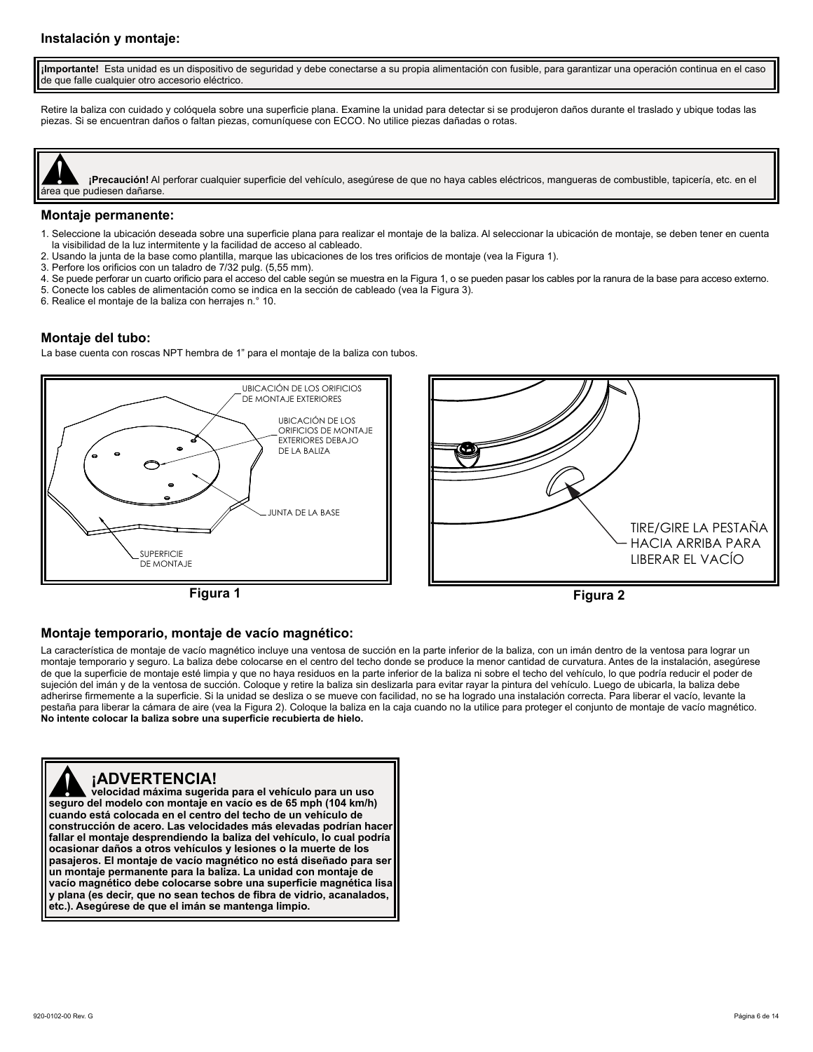#### **Instalación y montaje:**

**¡Importante!** Esta unidad es un dispositivo de seguridad y debe conectarse a su propia alimentación con fusible, para garantizar una operación continua en el caso de que falle cualquier otro accesorio eléctrico.

Retire la baliza con cuidado y colóquela sobre una superficie plana. Examine la unidad para detectar si se produjeron daños durante el traslado y ubique todas las piezas. Si se encuentran daños o faltan piezas, comuníquese con ECCO. No utilice piezas dañadas o rotas.

**¡Precaución!** Al perforar cualquier superficie del vehículo, asegúrese de que no haya cables eléctricos, mangueras de combustible, tapicería, etc. en el **Exercise de la precaución!** Al precaución! Al precaución! Al proportada que pudiesen dañarse.

#### **Montaje permanente:**

- 1. Seleccione la ubicación deseada sobre una superficie plana para realizar el montaje de la baliza. Al seleccionar la ubicación de montaje, se deben tener en cuenta la visibilidad de la luz intermitente y la facilidad de acceso al cableado.
- 2. Usando la junta de la base como plantilla, marque las ubicaciones de los tres orificios de montaje (vea la Figura 1).
- 3. Perfore los orificios con un taladro de 7/32 pulg. (5,55 mm).
- 4. Se puede perforar un cuarto orificio para el acceso del cable según se muestra en la Figura 1, o se pueden pasar los cables por la ranura de la base para acceso externo.
- 5. Conecte los cables de alimentación como se indica en la sección de cableado (vea la Figura 3).
- 6. Realice el montaje de la baliza con herrajes n.° 10.

#### **Montaje del tubo:**

La base cuenta con roscas NPT hembra de 1" para el montaje de la baliza con tubos.







#### **Montaje temporario, montaje de vacío magnético:**

La característica de montaje de vacío magnético incluye una ventosa de succión en la parte inferior de la baliza, con un imán dentro de la ventosa para lograr un montaje temporario y seguro. La baliza debe colocarse en el centro del techo donde se produce la menor cantidad de curvatura. Antes de la instalación, asegúrese de que la superficie de montaje esté limpia y que no haya residuos en la parte inferior de la baliza ni sobre el techo del vehículo, lo que podría reducir el poder de sujeción del imán y de la ventosa de succión. Coloque y retire la baliza sin deslizarla para evitar rayar la pintura del vehículo. Luego de ubicarla, la baliza debe adherirse firmemente a la superficie. Si la unidad se desliza o se mueve con facilidad, no se ha logrado una instalación correcta. Para liberar el vacío, levante la pestaña para liberar la cámara de aire (vea la Figura 2). Coloque la baliza en la caja cuando no la utilice para proteger el conjunto de montaje de vacío magnético. **No intente colocar la baliza sobre una superficie recubierta de hielo.**

## **¡ADVERTENCIA!**

**seguro del modelo con montaje en vacío es de 65 mph (104 km/h) eugado está colocada en el centro del techo de un vehículo de cuando está colocada en el centro del techo de un vehículo de velocidad máxima sugerida para el vehículo para un uso cuando está colocada en el centro del techo de un vehículo de construcción de acero. Las velocidades más elevadas podrían hacer fallar el montaje desprendiendo la baliza del vehículo, lo cual podría ocasionar daños a otros vehículos y lesiones o la muerte de los pasajeros. El montaje de vacío magnético no está diseñado para ser un montaje permanente para la baliza. La unidad con montaje de vacío magnético debe colocarse sobre una superficie magnética lisa y plana (es decir, que no sean techos de fibra de vidrio, acanalados, etc.). Asegúrese de que el imán se mantenga limpio.**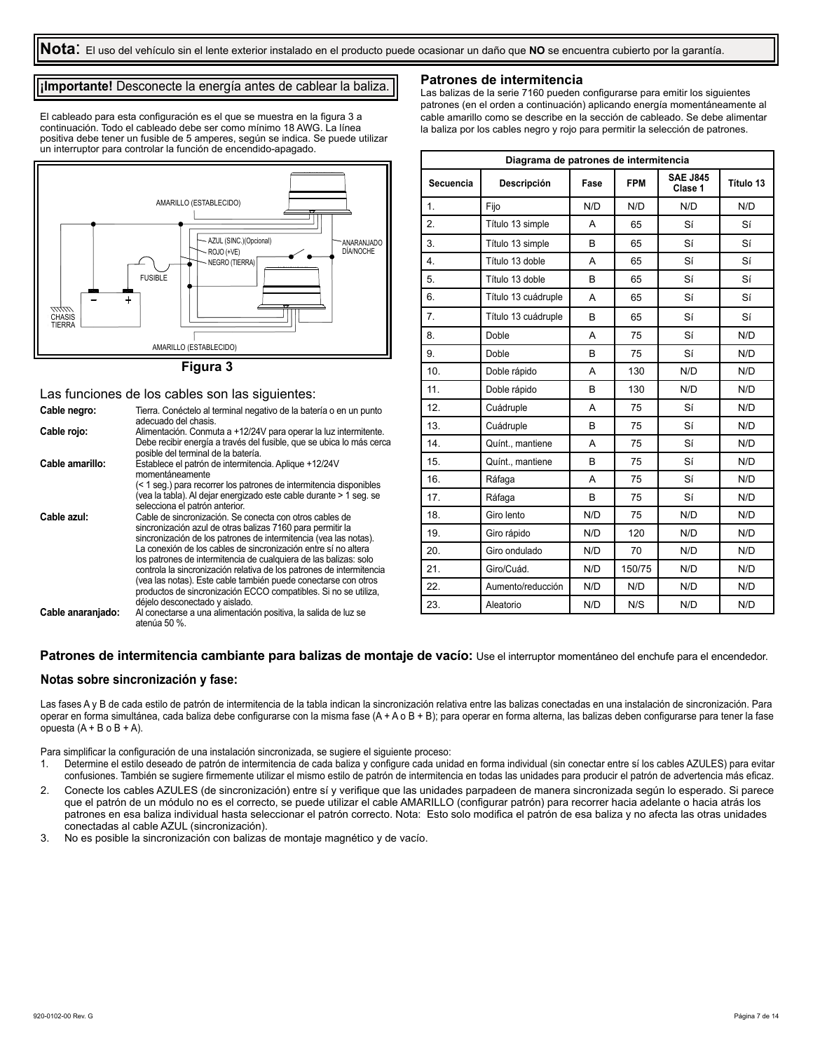#### **¡Importante!** Desconecte la energía antes de cablear la baliza.

El cableado para esta configuración es el que se muestra en la figura 3 a continuación. Todo el cableado debe ser como mínimo 18 AWG. La línea positiva debe tener un fusible de 5 amperes, según se indica. Se puede utilizar un interruptor para controlar la función de encendido-apagado.



#### **Figura 3**

#### Las funciones de los cables son las siguientes:

| Cable negro:      | Tierra. Conéctelo al terminal negativo de la batería o en un punto<br>adecuado del chasis.                                                                                                                                                                                                                                                                                                                                                                                                                                                                                     |
|-------------------|--------------------------------------------------------------------------------------------------------------------------------------------------------------------------------------------------------------------------------------------------------------------------------------------------------------------------------------------------------------------------------------------------------------------------------------------------------------------------------------------------------------------------------------------------------------------------------|
| Cable rojo:       | Alimentación. Conmuta a +12/24V para operar la luz intermitente.<br>Debe recibir energía a través del fusible, que se ubica lo más cerca<br>posible del terminal de la batería.                                                                                                                                                                                                                                                                                                                                                                                                |
| Cable amarillo:   | Establece el patrón de intermitencia. Aplique +12/24V<br>momentáneamente                                                                                                                                                                                                                                                                                                                                                                                                                                                                                                       |
|                   | (< 1 seg.) para recorrer los patrones de intermitencia disponibles<br>(vea la tabla). Al dejar energizado este cable durante > 1 seg. se<br>selecciona el patrón anterior.                                                                                                                                                                                                                                                                                                                                                                                                     |
| Cable azul:       | Cable de sincronización. Se conecta con otros cables de<br>sincronización azul de otras balizas 7160 para permitir la<br>sincronización de los patrones de intermitencia (vea las notas).<br>La conexión de los cables de sincronización entre sí no altera<br>los patrones de intermitencia de cualquiera de las balizas: solo<br>controla la sincronización relativa de los patrones de intermitencia<br>(vea las notas). Este cable también puede conectarse con otros<br>productos de sincronización ECCO compatibles. Si no se utiliza,<br>déjelo desconectado y aislado. |
| Cable anaranjado: | Al conectarse a una alimentación positiva, la salida de luz se<br>atenúa 50 %.                                                                                                                                                                                                                                                                                                                                                                                                                                                                                                 |

#### **Patrones de intermitencia**

Las balizas de la serie 7160 pueden configurarse para emitir los siguientes patrones (en el orden a continuación) aplicando energía momentáneamente al cable amarillo como se describe en la sección de cableado. Se debe alimentar la baliza por los cables negro y rojo para permitir la selección de patrones.

| Diagrama de patrones de intermitencia |                     |              |            |                            |           |  |
|---------------------------------------|---------------------|--------------|------------|----------------------------|-----------|--|
| Secuencia                             | Descripción         | Fase         | <b>FPM</b> | <b>SAE J845</b><br>Clase 1 | Título 13 |  |
| 1.                                    | Fijo                | N/D          | N/D        | N/D                        | N/D       |  |
| 2.                                    | Título 13 simple    | A            | 65         | Sí                         | Sí        |  |
| 3.                                    | Título 13 simple    | <sub>R</sub> | 65         | Sí                         | Sí        |  |
| 4.                                    | Título 13 doble     | A            | 65         | Sí                         | Sí        |  |
| 5.                                    | Título 13 doble     | B            | 65         | Sí                         | Sí        |  |
| 6.                                    | Título 13 cuádruple | A            | 65         | Sí                         | Sí        |  |
| 7.                                    | Título 13 cuádruple | B            | 65         | Sí                         | Sí        |  |
| 8.                                    | Doble               | A            | 75         | Sí                         | N/D       |  |
| 9.                                    | Doble               | B            | 75         | Sí                         | N/D       |  |
| 10.                                   | Doble rápido        | A            | 130        | N/D                        | N/D       |  |
| 11.                                   | Doble rápido        | B            | 130        | N/D                        | N/D       |  |
| 12.                                   | Cuádruple           | A            | 75         | Sí                         | N/D       |  |
| 13.                                   | Cuádruple           | B            | 75         | Sí                         | N/D       |  |
| 14.                                   | Quínt., mantiene    | A            | 75         | Sí                         | N/D       |  |
| 15.                                   | Quínt., mantiene    | B            | 75         | Sí                         | N/D       |  |
| 16.                                   | Ráfaga              | A            | 75         | Sí                         | N/D       |  |
| 17.                                   | Ráfaga              | B            | 75         | Sí                         | N/D       |  |
| 18.                                   | Giro lento          | N/D          | 75         | N/D                        | N/D       |  |
| 19.                                   | Giro rápido         | N/D          | 120        | N/D                        | N/D       |  |
| 20.                                   | Giro ondulado       | N/D          | 70         | N/D                        | N/D       |  |
| 21.                                   | Giro/Cuád.          | N/D          | 150/75     | N/D                        | N/D       |  |
| 22.                                   | Aumento/reducción   | N/D          | N/D        | N/D                        | N/D       |  |
| 23.                                   | Aleatorio           | N/D          | N/S        | N/D                        | N/D       |  |

#### Patrones de intermitencia cambiante para balizas de montaje de vacío: Use el interruptor momentáneo del enchufe para el encendedor.

#### **Notas sobre sincronización y fase:**

Las fases A y B de cada estilo de patrón de intermitencia de la tabla indican la sincronización relativa entre las balizas conectadas en una instalación de sincronización. Para operar en forma simultánea, cada baliza debe configurarse con la misma fase (A + A o B + B); para operar en forma alterna, las balizas deben configurarse para tener la fase opuesta  $(A + B o B + A)$ .

Para simplificar la configuración de una instalación sincronizada, se sugiere el siguiente proceso:

- 1. Determine el estilo deseado de patrón de intermitencia de cada baliza y configure cada unidad en forma individual (sin conectar entre sí los cables AZULES) para evitar confusiones. También se sugiere firmemente utilizar el mismo estilo de patrón de intermitencia en todas las unidades para producir el patrón de advertencia más eficaz.
- 2. Conecte los cables AZULES (de sincronización) entre sí y verifique que las unidades parpadeen de manera sincronizada según lo esperado. Si parece que el patrón de un módulo no es el correcto, se puede utilizar el cable AMARILLO (configurar patrón) para recorrer hacia adelante o hacia atrás los patrones en esa baliza individual hasta seleccionar el patrón correcto. Nota: Esto solo modifica el patrón de esa baliza y no afecta las otras unidades conectadas al cable AZUL (sincronización).
- 3. No es posible la sincronización con balizas de montaje magnético y de vacío.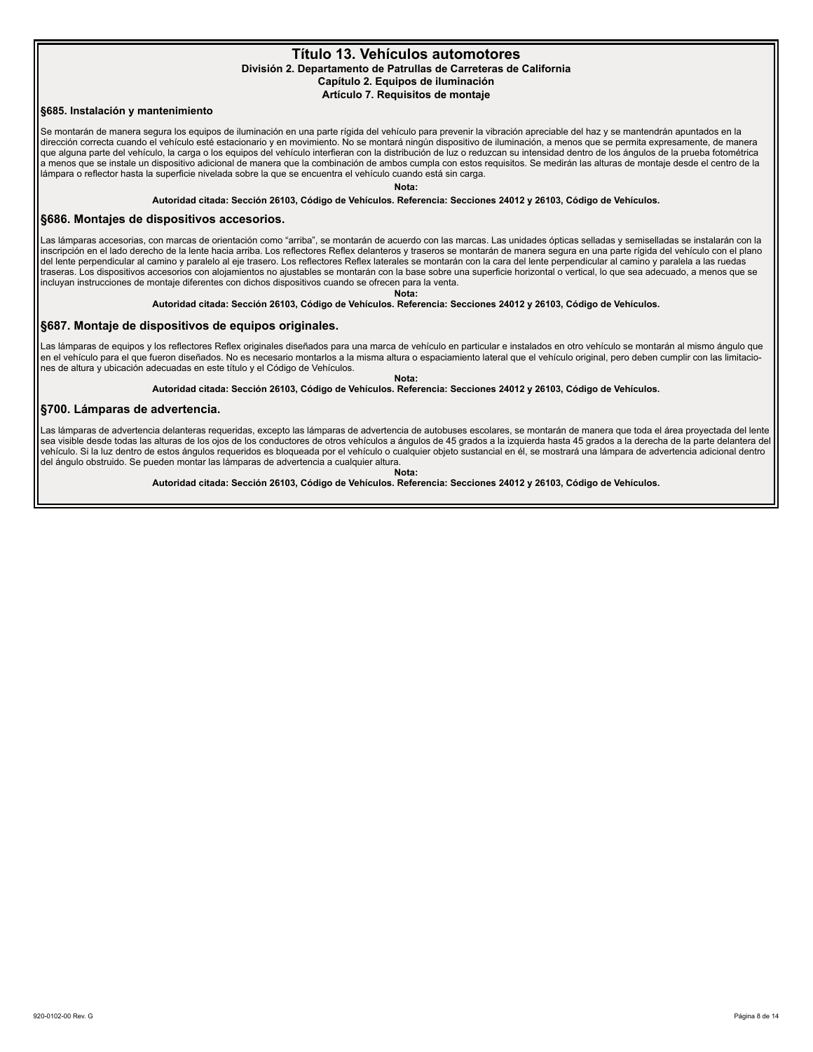#### **Título 13. Vehículos automotores División 2. Departamento de Patrullas de Carreteras de California Capítulo 2. Equipos de iluminación Artículo 7. Requisitos de montaje**

#### **§685. Instalación y mantenimiento**

Se montarán de manera segura los equipos de iluminación en una parte rígida del vehículo para prevenir la vibración apreciable del haz y se mantendrán apuntados en la dirección correcta cuando el vehículo esté estacionario y en movimiento. No se montará ningún dispositivo de iluminación, a menos que se permita expresamente, de manera que alguna parte del vehículo, la carga o los equipos del vehículo interfieran con la distribución de luz o reduzcan su intensidad dentro de los ángulos de la prueba fotométrica a menos que se instale un dispositivo adicional de manera que la combinación de ambos cumpla con estos requisitos. Se medirán las alturas de montaje desde el centro de la lámpara o reflector hasta la superficie nivelada sobre la que se encuentra el vehículo cuando está sin carga.

**Nota:**

**Autoridad citada: Sección 26103, Código de Vehículos. Referencia: Secciones 24012 y 26103, Código de Vehículos.**

#### **§686. Montajes de dispositivos accesorios.**

Las lámparas accesorias, con marcas de orientación como "arriba", se montarán de acuerdo con las marcas. Las unidades ópticas selladas y semiselladas se instalarán con la inscripción en el lado derecho de la lente hacia arriba. Los reflectores Reflex delanteros y traseros se montarán de manera segura en una parte rígida del vehículo con el plano del lente perpendicular al camino y paralelo al eje trasero. Los reflectores Reflex laterales se montarán con la cara del lente perpendicular al camino y paralela a las ruedas traseras. Los dispositivos accesorios con alojamientos no ajustables se montarán con la base sobre una superficie horizontal o vertical, lo que sea adecuado, a menos que se incluyan instrucciones de montaje diferentes con dichos dispositivos cuando se ofrecen para la venta.

**Nota:**

**Autoridad citada: Sección 26103, Código de Vehículos. Referencia: Secciones 24012 y 26103, Código de Vehículos.**

#### **§687. Montaje de dispositivos de equipos originales.**

Las lámparas de equipos y los reflectores Reflex originales diseñados para una marca de vehículo en particular e instalados en otro vehículo se montarán al mismo ángulo que en el vehículo para el que fueron diseñados. No es necesario montarlos a la misma altura o espaciamiento lateral que el vehículo original, pero deben cumplir con las limitaciones de altura y ubicación adecuadas en este título y el Código de Vehículos.

**Nota:**

**Autoridad citada: Sección 26103, Código de Vehículos. Referencia: Secciones 24012 y 26103, Código de Vehículos.**

#### **§700. Lámparas de advertencia.**

Las lámparas de advertencia delanteras requeridas, excepto las lámparas de advertencia de autobuses escolares, se montarán de manera que toda el área proyectada del lente sea visible desde todas las alturas de los ojos de los conductores de otros vehículos a ángulos de 45 grados a la izquierda hasta 45 grados a la derecha de la parte delantera del vehículo. Si la luz dentro de estos ángulos requeridos es bloqueada por el vehículo o cualquier objeto sustancial en él, se mostrará una lámpara de advertencia adicional dentro del ángulo obstruido. Se pueden montar las lámparas de advertencia a cualquier altura.

**Nota:**

**Autoridad citada: Sección 26103, Código de Vehículos. Referencia: Secciones 24012 y 26103, Código de Vehículos.**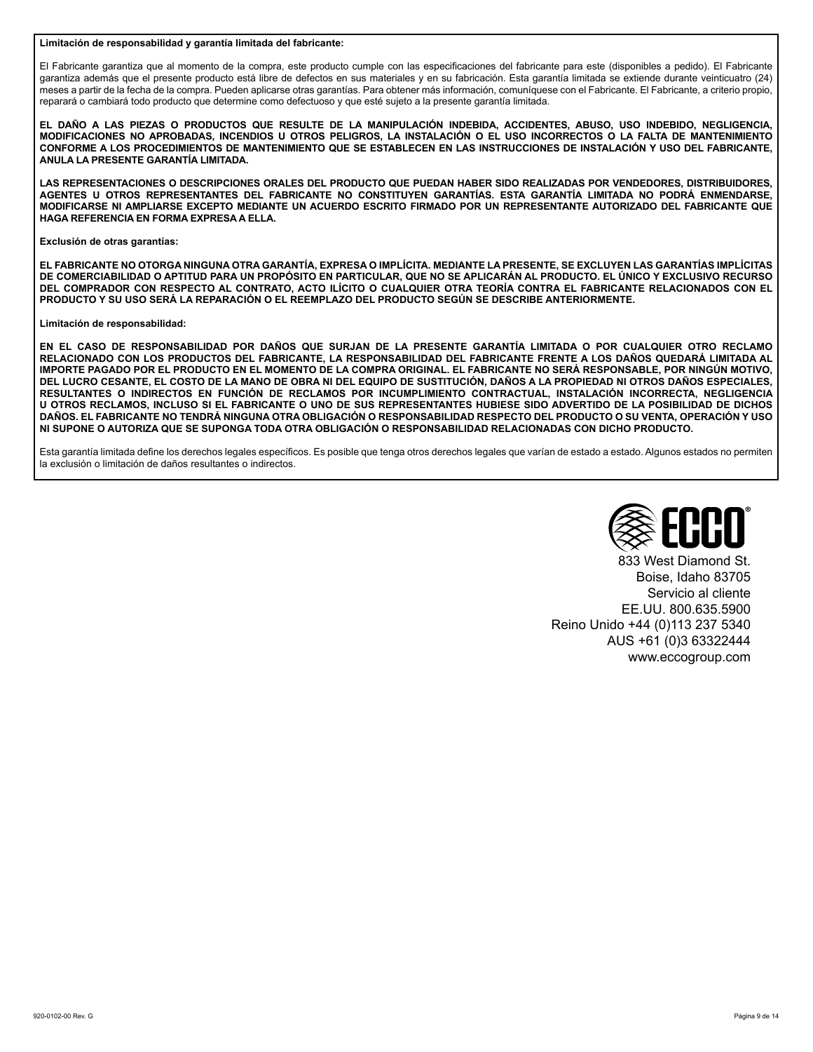#### **Limitación de responsabilidad y garantía limitada del fabricante:**

El Fabricante garantiza que al momento de la compra, este producto cumple con las especificaciones del fabricante para este (disponibles a pedido). El Fabricante garantiza además que el presente producto está libre de defectos en sus materiales y en su fabricación. Esta garantía limitada se extiende durante veinticuatro (24) meses a partir de la fecha de la compra. Pueden aplicarse otras garantías. Para obtener más información, comuníquese con el Fabricante. El Fabricante, a criterio propio, reparará o cambiará todo producto que determine como defectuoso y que esté sujeto a la presente garantía limitada.

**EL DAÑO A LAS PIEZAS O PRODUCTOS QUE RESULTE DE LA MANIPULACIÓN INDEBIDA, ACCIDENTES, ABUSO, USO INDEBIDO, NEGLIGENCIA, MODIFICACIONES NO APROBADAS, INCENDIOS U OTROS PELIGROS, LA INSTALACIÓN O EL USO INCORRECTOS O LA FALTA DE MANTENIMIENTO CONFORME A LOS PROCEDIMIENTOS DE MANTENIMIENTO QUE SE ESTABLECEN EN LAS INSTRUCCIONES DE INSTALACIÓN Y USO DEL FABRICANTE, ANULA LA PRESENTE GARANTÍA LIMITADA.**

**LAS REPRESENTACIONES O DESCRIPCIONES ORALES DEL PRODUCTO QUE PUEDAN HABER SIDO REALIZADAS POR VENDEDORES, DISTRIBUIDORES, AGENTES U OTROS REPRESENTANTES DEL FABRICANTE NO CONSTITUYEN GARANTÍAS. ESTA GARANTÍA LIMITADA NO PODRÁ ENMENDARSE, MODIFICARSE NI AMPLIARSE EXCEPTO MEDIANTE UN ACUERDO ESCRITO FIRMADO POR UN REPRESENTANTE AUTORIZADO DEL FABRICANTE QUE HAGA REFERENCIA EN FORMA EXPRESA A ELLA.**

#### **Exclusión de otras garantías:**

**EL FABRICANTE NO OTORGA NINGUNA OTRA GARANTÍA, EXPRESA O IMPLÍCITA. MEDIANTE LA PRESENTE, SE EXCLUYEN LAS GARANTÍAS IMPLÍCITAS DE COMERCIABILIDAD O APTITUD PARA UN PROPÓSITO EN PARTICULAR, QUE NO SE APLICARÁN AL PRODUCTO. EL ÚNICO Y EXCLUSIVO RECURSO DEL COMPRADOR CON RESPECTO AL CONTRATO, ACTO ILÍCITO O CUALQUIER OTRA TEORÍA CONTRA EL FABRICANTE RELACIONADOS CON EL PRODUCTO Y SU USO SERÁ LA REPARACIÓN O EL REEMPLAZO DEL PRODUCTO SEGÚN SE DESCRIBE ANTERIORMENTE.**

#### **Limitación de responsabilidad:**

**EN EL CASO DE RESPONSABILIDAD POR DAÑOS QUE SURJAN DE LA PRESENTE GARANTÍA LIMITADA O POR CUALQUIER OTRO RECLAMO RELACIONADO CON LOS PRODUCTOS DEL FABRICANTE, LA RESPONSABILIDAD DEL FABRICANTE FRENTE A LOS DAÑOS QUEDARÁ LIMITADA AL IMPORTE PAGADO POR EL PRODUCTO EN EL MOMENTO DE LA COMPRA ORIGINAL. EL FABRICANTE NO SERÁ RESPONSABLE, POR NINGÚN MOTIVO, DEL LUCRO CESANTE, EL COSTO DE LA MANO DE OBRA NI DEL EQUIPO DE SUSTITUCIÓN, DAÑOS A LA PROPIEDAD NI OTROS DAÑOS ESPECIALES, RESULTANTES O INDIRECTOS EN FUNCIÓN DE RECLAMOS POR INCUMPLIMIENTO CONTRACTUAL, INSTALACIÓN INCORRECTA, NEGLIGENCIA U OTROS RECLAMOS, INCLUSO SI EL FABRICANTE O UNO DE SUS REPRESENTANTES HUBIESE SIDO ADVERTIDO DE LA POSIBILIDAD DE DICHOS DAÑOS. EL FABRICANTE NO TENDRÁ NINGUNA OTRA OBLIGACIÓN O RESPONSABILIDAD RESPECTO DEL PRODUCTO O SU VENTA, OPERACIÓN Y USO NI SUPONE O AUTORIZA QUE SE SUPONGA TODA OTRA OBLIGACIÓN O RESPONSABILIDAD RELACIONADAS CON DICHO PRODUCTO.**

Esta garantía limitada define los derechos legales específicos. Es posible que tenga otros derechos legales que varían de estado a estado. Algunos estados no permiten la exclusión o limitación de daños resultantes o indirectos.



833 West Diamond St. Boise, Idaho 83705 Servicio al cliente EE.UU. 800.635.5900 Reino Unido +44 (0)113 237 5340 AUS +61 (0)3 63322444 www.eccogroup.com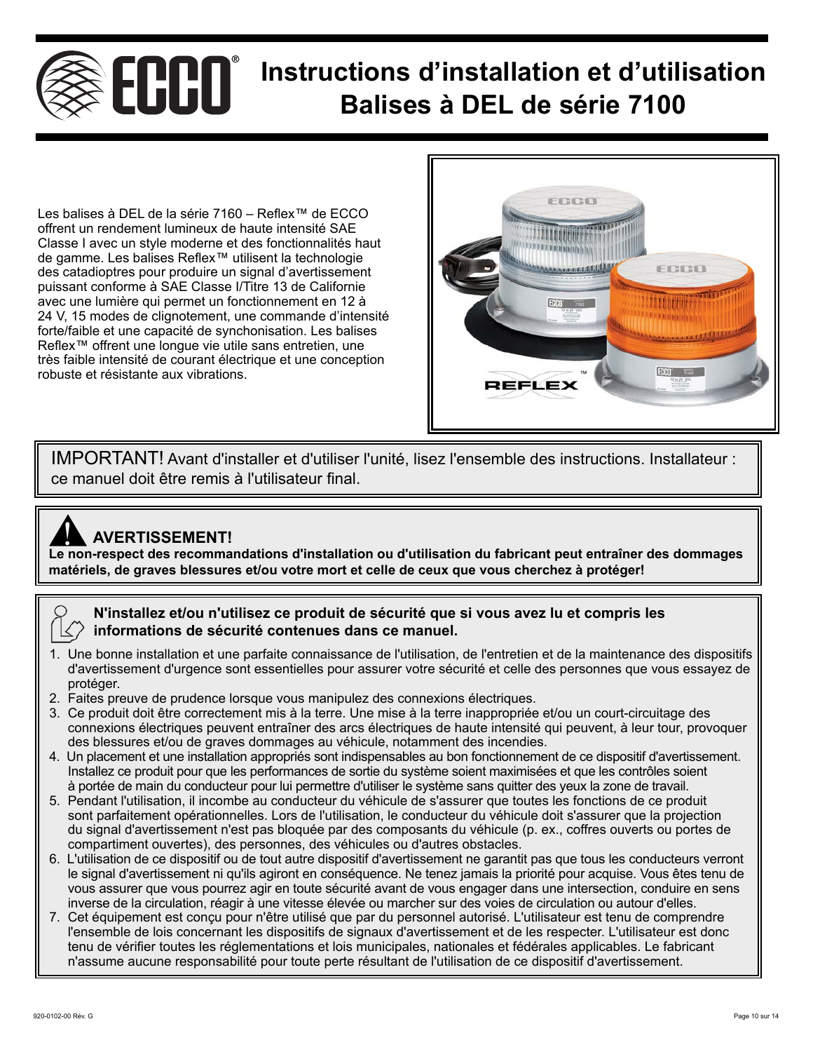## **Instructions d'installation et d'utilisation Balises à DEL de série 7100**

Les balises à DEL de la série 7160 – Reflex™ de ECCO offrent un rendement lumineux de haute intensité SAE Classe I avec un style moderne et des fonctionnalités haut de gamme. Les balises Reflex™ utilisent la technologie des catadioptres pour produire un signal d'avertissement puissant conforme à SAE Classe I/Titre 13 de Californie avec une lumière qui permet un fonctionnement en 12 à 24 V, 15 modes de clignotement, une commande d'intensité forte/faible et une capacité de synchonisation. Les balises Reflex™ offrent une longue vie utile sans entretien, une très faible intensité de courant électrique et une conception robuste et résistante aux vibrations.



IMPORTANT! Avant d'installer et d'utiliser l'unité, lisez l'ensemble des instructions. Installateur : ce manuel doit être remis à l'utilisateur final.

## **AVERTISSEMENT!**

**Le non-respect des recommandations d'installation ou d'utilisation du fabricant peut entraîner des dommages<br>Le non-respect des recommandations d'installation ou d'utilisation du fabricant peut entraîner des dommages matériels, de graves blessures et/ou votre mort et celle de ceux que vous cherchez à protéger!**

## **N'installez et/ou n'utilisez ce produit de sécurité que si vous avez lu et compris les informations de sécurité contenues dans ce manuel.**

- 1. Une bonne installation et une parfaite connaissance de l'utilisation, de l'entretien et de la maintenance des dispositifs d'avertissement d'urgence sont essentielles pour assurer votre sécurité et celle des personnes que vous essayez de protéger.
- 2. Faites preuve de prudence lorsque vous manipulez des connexions électriques.
- 3. Ce produit doit être correctement mis à la terre. Une mise à la terre inappropriée et/ou un court-circuitage des connexions électriques peuvent entraîner des arcs électriques de haute intensité qui peuvent, à leur tour, provoquer des blessures et/ou de graves dommages au véhicule, notamment des incendies.
- 4. Un placement et une installation appropriés sont indispensables au bon fonctionnement de ce dispositif d'avertissement. Installez ce produit pour que les performances de sortie du système soient maximisées et que les contrôles soient à portée de main du conducteur pour lui permettre d'utiliser le système sans quitter des yeux la zone de travail.
- 5. Pendant l'utilisation, il incombe au conducteur du véhicule de s'assurer que toutes les fonctions de ce produit sont parfaitement opérationnelles. Lors de l'utilisation, le conducteur du véhicule doit s'assurer que la projection du signal d'avertissement n'est pas bloquée par des composants du véhicule (p. ex., coffres ouverts ou portes de compartiment ouvertes), des personnes, des véhicules ou d'autres obstacles.
- 6. L'utilisation de ce dispositif ou de tout autre dispositif d'avertissement ne garantit pas que tous les conducteurs verront le signal d'avertissement ni qu'ils agiront en conséquence. Ne tenez jamais la priorité pour acquise. Vous êtes tenu de vous assurer que vous pourrez agir en toute sécurité avant de vous engager dans une intersection, conduire en sens inverse de la circulation, réagir à une vitesse élevée ou marcher sur des voies de circulation ou autour d'elles.
- 7. Cet équipement est conçu pour n'être utilisé que par du personnel autorisé. L'utilisateur est tenu de comprendre l'ensemble de lois concernant les dispositifs de signaux d'avertissement et de les respecter. L'utilisateur est donc tenu de vérifier toutes les réglementations et lois municipales, nationales et fédérales applicables. Le fabricant n'assume aucune responsabilité pour toute perte résultant de l'utilisation de ce dispositif d'avertissement.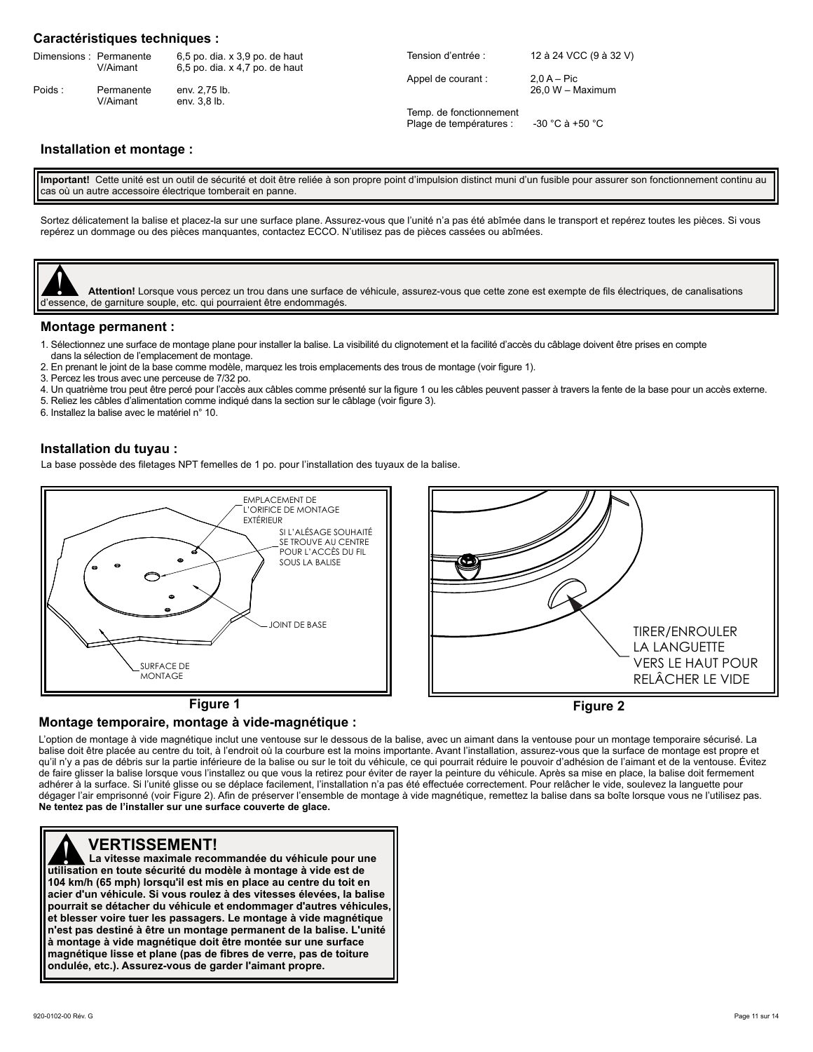#### **Caractéristiques techniques :**

|        | Dimensions: Permanente<br>V/Aimant | 6,5 po. dia. x 3,9 po. de haut<br>6,5 po. dia. x 4,7 po. de haut | Tension d'entrée :                                 | 12 à 24 VCC (9 à 32 V) |
|--------|------------------------------------|------------------------------------------------------------------|----------------------------------------------------|------------------------|
|        |                                    |                                                                  | Appel de courant :                                 | $2.0 A - Pic$          |
| Poids: | Permanente<br>V/Aimant             | env. 2.75 lb.<br>env. 3.8 lb.                                    |                                                    | 26.0 W - Maximum       |
|        |                                    |                                                                  | Temp. de fonctionnement<br>Plage de températures : | -30 °C à +50 °C        |

### **Installation et montage :**

**Important!** Cette unité est un outil de sécurité et doit être reliée à son propre point d'impulsion distinct muni d'un fusible pour assurer son fonctionnement continu au cas où un autre accessoire électrique tomberait en panne.

Sortez délicatement la balise et placez-la sur une surface plane. Assurez-vous que l'unité n'a pas été abîmée dans le transport et repérez toutes les pièces. Si vous repérez un dommage ou des pièces manquantes, contactez ECCO. N'utilisez pas de pièces cassées ou abîmées.



#### **Montage permanent :**

- 1. Sélectionnez une surface de montage plane pour installer la balise. La visibilité du clignotement et la facilité d'accès du câblage doivent être prises en compte
- dans la sélection de l'emplacement de montage. 2. En prenant le joint de la base comme modèle, marquez les trois emplacements des trous de montage (voir figure 1).
- 3. Percez les trous avec une perceuse de 7/32 po.
- 4. Un quatrième trou peut être percé pour l'accès aux câbles comme présenté sur la figure 1 ou les câbles peuvent passer à travers la fente de la base pour un accès externe.
- 5. Reliez les câbles d'alimentation comme indiqué dans la section sur le câblage (voir figure 3).

6. Installez la balise avec le matériel n° 10.

#### **Installation du tuyau :**

La base possède des filetages NPT femelles de 1 po. pour l'installation des tuyaux de la balise.



#### **Montage temporaire, montage à vide-magnétique :**

L'option de montage à vide magnétique inclut une ventouse sur le dessous de la balise, avec un aimant dans la ventouse pour un montage temporaire sécurisé. La balise doit être placée au centre du toit, à l'endroit où la courbure est la moins importante. Avant l'installation, assurez-vous que la surface de montage est propre et qu'il n'y a pas de débris sur la partie inférieure de la balise ou sur le toit du véhicule, ce qui pourrait réduire le pouvoir d'adhésion de l'aimant et de la ventouse. Évitez de faire glisser la balise lorsque vous l'installez ou que vous la retirez pour éviter de rayer la peinture du véhicule. Après sa mise en place, la balise doit fermement adhérer à la surface. Si l'unité glisse ou se déplace facilement, l'installation n'a pas été effectuée correctement. Pour relâcher le vide, soulevez la languette pour dégager l'air emprisonné (voir Figure 2). Afin de préserver l'ensemble de montage à vide magnétique, remettez la balise dans sa boîte lorsque vous ne l'utilisez pas. **Ne tentez pas de l'installer sur une surface couverte de glace.**

 **104 km/h (65 mph) lorsqu'il est mis en place au centre du toit en VERTISSEMENT! La vitesse maximale recommandée du véhicule pour une unités VERTISSEMENT!**<br>
La vitesse maximale recommandée du véhicule pour un<br>
utilisation en toute sécurité du modèle à montage à vide est de **acier d'un véhicule. Si vous roulez à des vitesses élevées, la balise pourrait se détacher du véhicule et endommager d'autres véhicules, et blesser voire tuer les passagers. Le montage à vide magnétique n'est pas destiné à être un montage permanent de la balise. L'unité à montage à vide magnétique doit être montée sur une surface magnétique lisse et plane (pas de fibres de verre, pas de toiture ondulée, etc.). Assurez-vous de garder l'aimant propre.**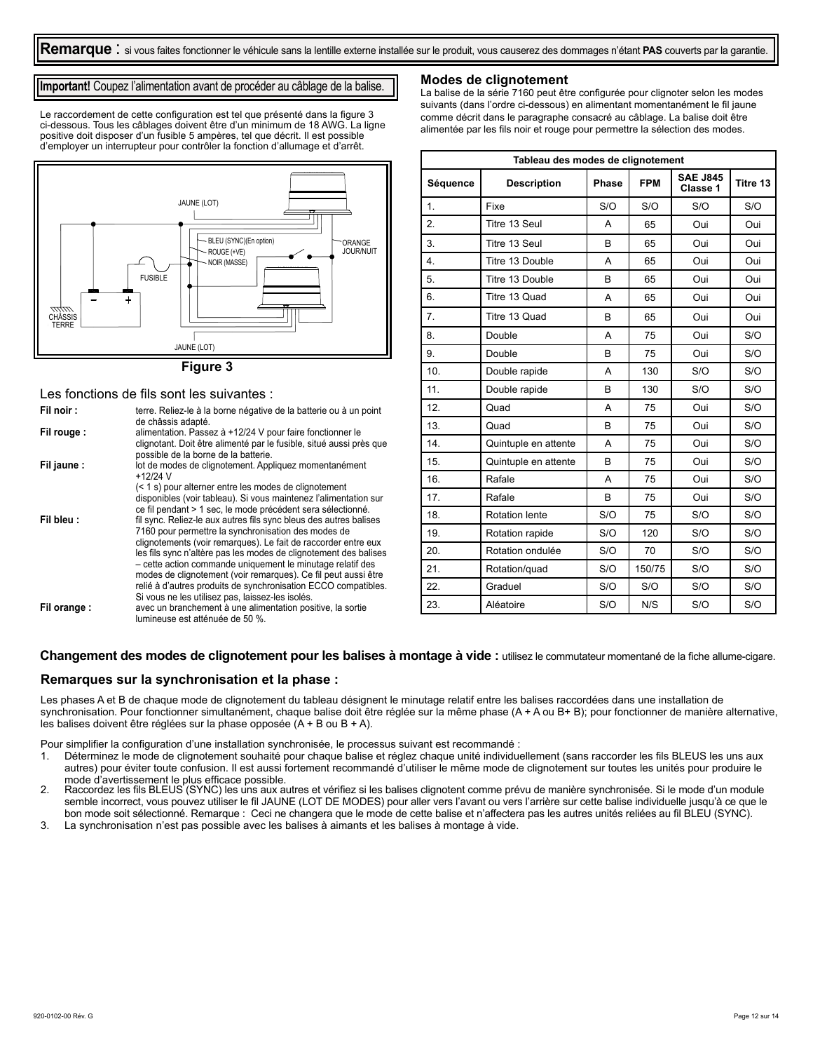#### **Important!** Coupez l'alimentation avant de procéder au câblage de la balise.

Le raccordement de cette configuration est tel que présenté dans la figure 3 ci-dessous. Tous les câblages doivent être d'un minimum de 18 AWG. La ligne positive doit disposer d'un fusible 5 ampères, tel que décrit. Il est possible d'employer un interrupteur pour contrôler la fonction d'allumage et d'arrêt.



#### **Figure 3**

#### Les fonctions de fils sont les suivantes :

| Fil noir:   | terre. Reliez-le à la borne négative de la batterie ou à un point<br>de châssis adapté.                                                                                                                                                                                                                                                                                                                                                                                                                              |
|-------------|----------------------------------------------------------------------------------------------------------------------------------------------------------------------------------------------------------------------------------------------------------------------------------------------------------------------------------------------------------------------------------------------------------------------------------------------------------------------------------------------------------------------|
| Fil rouge:  | alimentation. Passez à +12/24 V pour faire fonctionner le<br>clignotant. Doit être alimenté par le fusible, situé aussi près que<br>possible de la borne de la batterie.                                                                                                                                                                                                                                                                                                                                             |
| Fil jaune : | lot de modes de clignotement. Appliquez momentanément<br>$+12/24$ V                                                                                                                                                                                                                                                                                                                                                                                                                                                  |
|             | (< 1 s) pour alterner entre les modes de clignotement<br>disponibles (voir tableau). Si vous maintenez l'alimentation sur<br>ce fil pendant > 1 sec, le mode précédent sera sélectionné.                                                                                                                                                                                                                                                                                                                             |
| Fil bleu:   | fil sync. Reliez-le aux autres fils sync bleus des autres balises<br>7160 pour permettre la synchronisation des modes de<br>clignotements (voir remarques). Le fait de raccorder entre eux<br>les fils sync n'altère pas les modes de clignotement des balises<br>- cette action commande uniquement le minutage relatif des<br>modes de clignotement (voir remarques). Ce fil peut aussi être<br>relié à d'autres produits de synchronisation ECCO compatibles.<br>Si vous ne les utilisez pas, laissez-les isolés. |
| Fil orange: | avec un branchement à une alimentation positive, la sortie<br>lumineuse est atténuée de 50 %.                                                                                                                                                                                                                                                                                                                                                                                                                        |

#### **Modes de clignotement**

La balise de la série 7160 peut être configurée pour clignoter selon les modes suivants (dans l'ordre ci-dessous) en alimentant momentanément le fil jaune comme décrit dans le paragraphe consacré au câblage. La balise doit être alimentée par les fils noir et rouge pour permettre la sélection des modes.

| Tableau des modes de clignotement |                       |       |            |                             |          |  |
|-----------------------------------|-----------------------|-------|------------|-----------------------------|----------|--|
| Séquence                          | <b>Description</b>    | Phase | <b>FPM</b> | <b>SAE J845</b><br>Classe 1 | Titre 13 |  |
| $\mathbf{1}$ .                    | Fixe                  | S/O   | S/O        | S/O                         | S/O      |  |
| 2.                                | Titre 13 Seul         | A     | 65         | Oui                         | Oui      |  |
| 3.                                | Titre 13 Seul         | B     | 65         | Oui                         | Oui      |  |
| $\overline{4}$ .                  | Titre 13 Double       | A     | 65         | Oui                         | Oui      |  |
| 5.                                | Titre 13 Double       | B     | 65         | Oui                         | Oui      |  |
| 6.                                | Titre 13 Quad         | A     | 65         | Oui                         | Oui      |  |
| $\overline{7}$ .                  | Titre 13 Quad         | B     | 65         | Oui                         | Oui      |  |
| 8.                                | Double                | A     | 75         | Oui                         | S/O      |  |
| 9.                                | Double                | B     | 75         | Oui                         | S/O      |  |
| 10.                               | Double rapide         | A     | 130        | S/O                         | S/O      |  |
| 11.                               | Double rapide         | B     | 130        | S/O                         | S/O      |  |
| 12.                               | Quad                  | A     | 75         | Oui                         | S/O      |  |
| 13.                               | Quad                  | B     | 75         | Oui                         | S/O      |  |
| 14.                               | Quintuple en attente  | A     | 75         | Oui                         | S/O      |  |
| 15.                               | Quintuple en attente  | B     | 75         | Oui                         | S/O      |  |
| 16.                               | Rafale                | A     | 75         | Oui                         | S/O      |  |
| 17.                               | Rafale                | B     | 75         | Oui                         | S/O      |  |
| 18.                               | <b>Rotation lente</b> | S/O   | 75         | S/O                         | S/O      |  |
| 19.                               | Rotation rapide       | S/O   | 120        | S/O                         | S/O      |  |
| 20.                               | Rotation ondulée      | S/O   | 70         | S/O                         | S/O      |  |
| 21.                               | Rotation/guad         | S/O   | 150/75     | S/O                         | S/O      |  |
| 22.                               | Graduel               | S/O   | S/O        | S/O                         | S/O      |  |
| 23.                               | Aléatoire             | S/O   | N/S        | S/O                         | S/O      |  |

#### Changement des modes de clignotement pour les balises à montage à vide : utilisez le commutateur momentané de la fiche allume-cigare.

#### **Remarques sur la synchronisation et la phase :**

Les phases A et B de chaque mode de clignotement du tableau désignent le minutage relatif entre les balises raccordées dans une installation de synchronisation. Pour fonctionner simultanément, chaque balise doit être réglée sur la même phase (A + A ou B+ B); pour fonctionner de manière alternative, les balises doivent être réglées sur la phase opposée (A + B ou B + A).

Pour simplifier la configuration d'une installation synchronisée, le processus suivant est recommandé :

1. Déterminez le mode de clignotement souhaité pour chaque balise et réglez chaque unité individuellement (sans raccorder les fils BLEUS les uns aux autres) pour éviter toute confusion. Il est aussi fortement recommandé d'utiliser le même mode de clignotement sur toutes les unités pour produire le

mode d'avertissement le plus efficace possible. 2. Raccordez les fils BLEUS (SYNC) les uns aux autres et vérifiez si les balises clignotent comme prévu de manière synchronisée. Si le mode d'un module semble incorrect, vous pouvez utiliser le fil JAUNE (LOT DE MODES) pour aller vers l'avant ou vers l'arrière sur cette balise individuelle jusqu'à ce que le bon mode soit sélectionné. Remarque : Ceci ne changera que le mode de cette balise et n'affectera pas les autres unités reliées au fil BLEU (SYNC).

3. La synchronisation n'est pas possible avec les balises à aimants et les balises à montage à vide.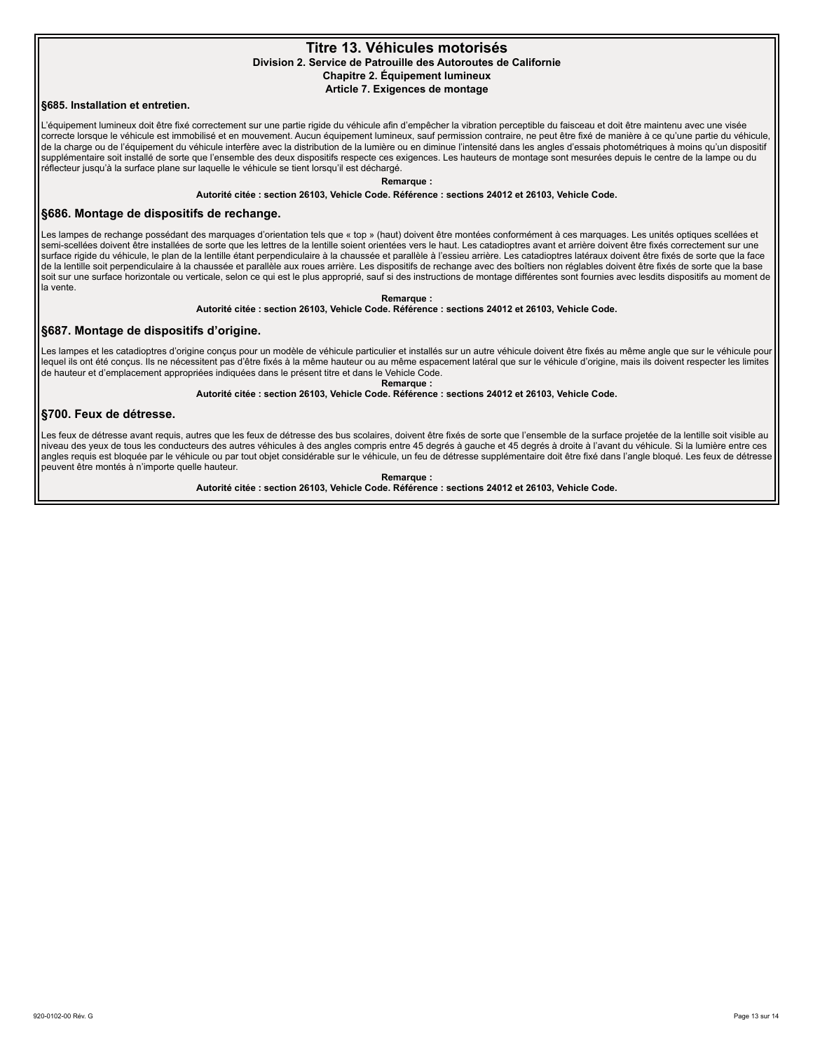#### **Titre 13. Véhicules motorisés Division 2. Service de Patrouille des Autoroutes de Californie Chapitre 2. Équipement lumineux Article 7. Exigences de montage**

#### **§685. Installation et entretien.**

L'équipement lumineux doit être fixé correctement sur une partie rigide du véhicule afin d'empêcher la vibration perceptible du faisceau et doit être maintenu avec une visée correcte lorsque le véhicule est immobilisé et en mouvement. Aucun équipement lumineux, sauf permission contraire, ne peut être fixé de manière à ce qu'une partie du véhicule, de la charge ou de l'équipement du véhicule interfère avec la distribution de la lumière ou en diminue l'intensité dans les angles d'essais photométriques à moins qu'un dispositif supplémentaire soit installé de sorte que l'ensemble des deux dispositifs respecte ces exigences. Les hauteurs de montage sont mesurées depuis le centre de la lampe ou du réflecteur jusqu'à la surface plane sur laquelle le véhicule se tient lorsqu'il est déchargé.

**Remarque :**

**Autorité citée : section 26103, Vehicle Code. Référence : sections 24012 et 26103, Vehicle Code.**

#### **§686. Montage de dispositifs de rechange.**

Les lampes de rechange possédant des marquages d'orientation tels que « top » (haut) doivent être montées conformément à ces marquages. Les unités optiques scellées et semi-scellées doivent être installées de sorte que les lettres de la lentille soient orientées vers le haut. Les catadioptres avant et arrière doivent être fixés correctement sur une surface rigide du véhicule, le plan de la lentille étant perpendiculaire à la chaussée et parallèle à l'essieu arrière. Les catadioptres latéraux doivent être fixés de sorte que la face de la lentille soit perpendiculaire à la chaussée et parallèle aux roues arrière. Les dispositifs de rechange avec des boîtiers non réglables doivent être fixés de sorte que la base soit sur une surface horizontale ou verticale, selon ce qui est le plus approprié, sauf si des instructions de montage différentes sont fournies avec lesdits dispositifs au moment de la vente.

**Remarque :**

#### **Autorité citée : section 26103, Vehicle Code. Référence : sections 24012 et 26103, Vehicle Code.**

#### **§687. Montage de dispositifs d'origine.**

Les lampes et les catadioptres d'origine conçus pour un modèle de véhicule particulier et installés sur un autre véhicule doivent être fixés au même angle que sur le véhicule pour lequel ils ont été conçus. Ils ne nécessitent pas d'être fixés à la même hauteur ou au même espacement latéral que sur le véhicule d'origine, mais ils doivent respecter les limites de hauteur et d'emplacement appropriées indiquées dans le présent titre et dans le Vehicle Code. **Remarque :**

**Autorité citée : section 26103, Vehicle Code. Référence : sections 24012 et 26103, Vehicle Code.**

#### **§700. Feux de détresse.**

Les feux de détresse avant requis, autres que les feux de détresse des bus scolaires, doivent être fixés de sorte que l'ensemble de la surface projetée de la lentille soit visible au niveau des yeux de tous les conducteurs des autres véhicules à des angles compris entre 45 degrés à gauche et 45 degrés à droite à l'avant du véhicule. Si la lumière entre ces angles requis est bloquée par le véhicule ou par tout objet considérable sur le véhicule, un feu de détresse supplémentaire doit être fixé dans l'angle bloqué. Les feux de détresse peuvent être montés à n'importe quelle hauteur.

**Remarque :**

**Autorité citée : section 26103, Vehicle Code. Référence : sections 24012 et 26103, Vehicle Code.**